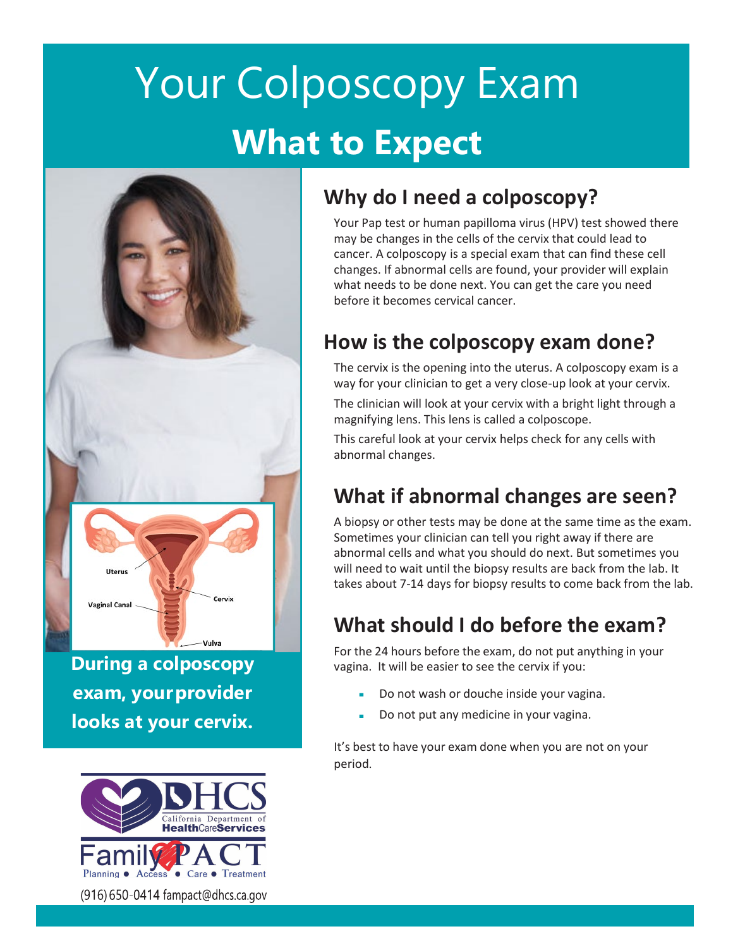# Your Colposcopy Exam **What to Expect**



**During a colposcopy exam, your provider looks at your cervix.**



(916) 650-0414 fampact@dhcs.ca.gov

# **Why do I need a colposcopy?**

Your Pap test or human papilloma virus (HPV) test showed there may be changes in the cells of the cervix that could lead to cancer. A colposcopy is a special exam that can find these cell changes. If abnormal cells are found, your provider will explain what needs to be done next. You can get the care you need before it becomes cervical cancer.

# **How is the colposcopy exam done?**

The cervix is the opening into the uterus. A colposcopy exam is a way for your clinician to get a very close-up look at your cervix.

The clinician will look at your cervix with a bright light through a magnifying lens. This lens is called a colposcope.

This careful look at your cervix helps check for any cells with abnormal changes.

# **What if abnormal changes are seen?**

A biopsy or other tests may be done at the same time as the exam. Sometimes your clinician can tell you right away if there are abnormal cells and what you should do next. But sometimes you will need to wait until the biopsy results are back from the lab. It takes about 7-14 days for biopsy results to come back from the lab.

# **What should I do before the exam?**

For the 24 hours before the exam, do not put anything in your vagina. It will be easier to see the cervix if you:

- Do not wash or douche inside your vagina.
- Do not put any medicine in your vagina.

It's best to have your exam done when you are not on your period.